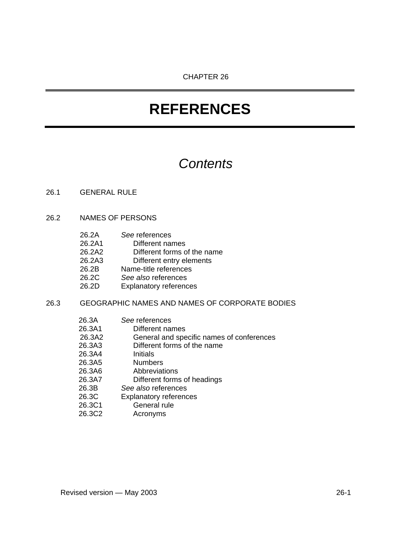## *Contents*

#### 26.1 GENERAL RULE

#### 26.2 NAMES OF PERSONS

- 26.2A *See* references
- 26.2A1 Different names
- 26.2A2 Different forms of the name<br>26.2A3 Different entry elements
- Different entry elements
- 26.2B Name-title references
- 26.2C *See also* references
- 26.2D Explanatory references

## 26.3 GEOGRAPHIC NAMES AND NAMES OF CORPORATE BODIES

|       | 26.3A  | See references                            |
|-------|--------|-------------------------------------------|
|       | 26.3A1 | Different names                           |
|       | 26.3A2 | General and specific names of conferences |
|       | 26.3A3 | Different forms of the name               |
|       | 26.3A4 | <b>Initials</b>                           |
|       | 26.3A5 | <b>Numbers</b>                            |
|       | 26.3A6 | Abbreviations                             |
|       | 26.3A7 | Different forms of headings               |
| 26.3B |        | See also references                       |
| 26.3C |        | <b>Explanatory references</b>             |
|       | 26.3C1 | General rule                              |
|       | 26.3C2 | Acronyms                                  |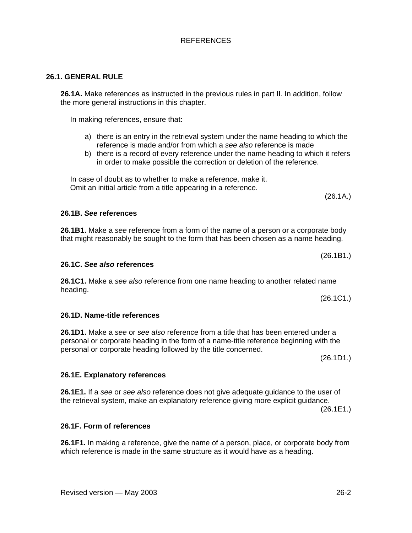## **26.1. GENERAL RULE**

**26.1A.** Make references as instructed in the previous rules in part II. In addition, follow the more general instructions in this chapter.

In making references, ensure that:

- a) there is an entry in the retrieval system under the name heading to which the reference is made and/or from which a *see also* reference is made
- b) there is a record of every reference under the name heading to which it refers in order to make possible the correction or deletion of the reference.

In case of doubt as to whether to make a reference, make it. Omit an initial article from a title appearing in a reference.

(26.1A.)

(26.1B1.)

#### **26.1B.** *See* **references**

**26.1B1.** Make a *see* reference from a form of the name of a person or a corporate body that might reasonably be sought to the form that has been chosen as a name heading.

#### **26.1C.** *See also* **references**

**26.1C1.** Make a *see also* reference from one name heading to another related name heading. (26.1C1.)

#### **26.1D. Name-title references**

**26.1D1.** Make a *see* or *see also* reference from a title that has been entered under a personal or corporate heading in the form of a name-title reference beginning with the personal or corporate heading followed by the title concerned.

(26.1D1.)

### **26.1E. Explanatory references**

**26.1E1.** If a *see* or *see also* reference does not give adequate guidance to the user of the retrieval system, make an explanatory reference giving more explicit guidance. (26.1E1.)

#### **26.1F. Form of references**

**26.1F1.** In making a reference, give the name of a person, place, or corporate body from which reference is made in the same structure as it would have as a heading.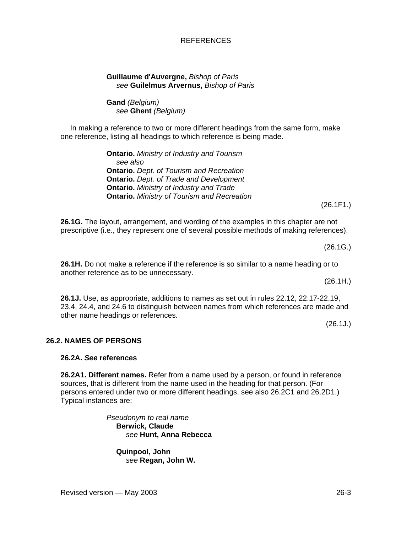#### Revised version — May 2003 26-3

#### REFERENCES

#### **Guillaume d'Auvergne,** *Bishop of Paris see* **Guilelmus Arvernus,** *Bishop of Paris*

### **Gand** *(Belgium) see* **Ghent** *(Belgium)*

In making a reference to two or more different headings from the same form, make one reference, listing all headings to which reference is being made.

> **Ontario.** *Ministry of Industry and Tourism see also*  **Ontario.** *Dept. of Tourism and Recreation* **Ontario.** *Dept. of Trade and Development*  **Ontario.** *Ministry of Industry and Trade* **Ontario.** *Ministry of Tourism and Recreation*

(26.1F1.)

**26.1G.** The layout, arrangement, and wording of the examples in this chapter are not prescriptive (i.e., they represent one of several possible methods of making references).

(26.1G.)

**26.1H.** Do not make a reference if the reference is so similar to a name heading or to another reference as to be unnecessary. (26.1H.)

**26.1J.** Use, as appropriate, additions to names as set out in rules 22.12, 22.17-22.19, 23.4, 24.4, and 24.6 to distinguish between names from which references are made and other name headings or references.

(26.1J.)

### **26.2. NAMES OF PERSONS**

#### **26.2A.** *See* **references**

**26.2A1. Different names.** Refer from a name used by a person, or found in reference sources, that is different from the name used in the heading for that person. (For persons entered under two or more different headings, see also 26.2C1 and 26.2D1.) Typical instances are:

> *Pseudonym to real name*  **Berwick, Claude**  *see* **Hunt, Anna Rebecca**

**Quinpool, John** *see* **Regan, John W.**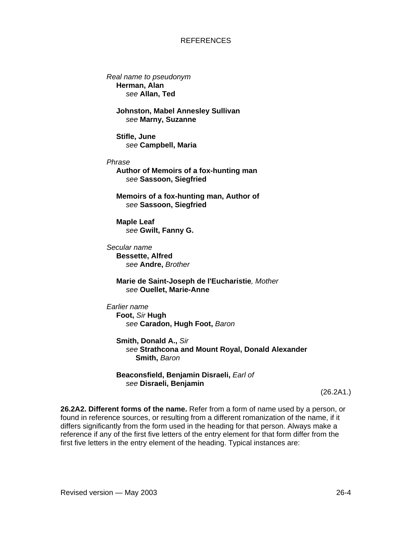*Real name to pseudonym*  **Herman, Alan**  *see* **Allan, Ted** 

> **Johnston, Mabel Annesley Sullivan**  *see* **Marny, Suzanne**

**Stifle, June**  *see* **Campbell, Maria** 

*Phrase* 

**Author of Memoirs of a fox-hunting man**  *see* **Sassoon, Siegfried** 

**Memoirs of a fox-hunting man, Author of** *see* **Sassoon, Siegfried**

**Maple Leaf**  *see* **Gwilt, Fanny G.**

*Secular name*  **Bessette, Alfred**  *see* **Andre,** *Brother* 

> **Marie de Saint-Joseph de l'Eucharistie***, Mother see* **Ouellet, Marie-Anne**

*Earlier name*  **Foot,** *Sir* **Hugh**  *see* **Caradon, Hugh Foot,** *Baron*

**Smith, Donald A.,** *Sir see* **Strathcona and Mount Royal, Donald Alexander Smith,** *Baron*

#### **Beaconsfield, Benjamin Disraeli,** *Earl of see* **Disraeli, Benjamin**

(26.2A1.)

**26.2A2. Different forms of the name.** Refer from a form of name used by a person, or found in reference sources, or resulting from a different romanization of the name, if it differs significantly from the form used in the heading for that person. Always make a reference if any of the first five letters of the entry element for that form differ from the first five letters in the entry element of the heading. Typical instances are: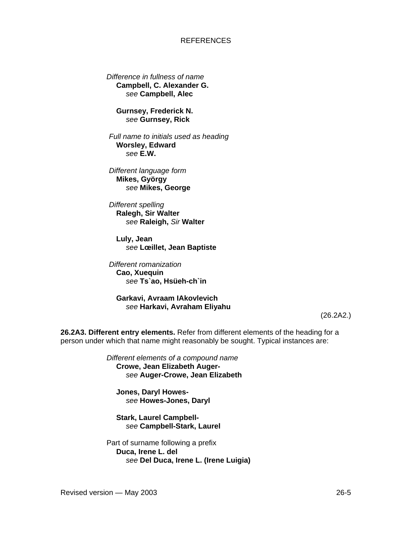*Difference in fullness of name*  **Campbell, C. Alexander G.**  *see* **Campbell, Alec** 

**Gurnsey, Frederick N.**  *see* **Gurnsey, Rick**

*Full name to initials used as heading*  **Worsley, Edward** *see* **E.W.** 

*Different language form*  **Mikes, György** *see* **Mikes, George** 

*Different spelling*  **Ralegh, Sir Walter** *see* **Raleigh,** *Sir* **Walter** 

**Luly, Jean** *see* **Lœillet, Jean Baptiste** 

 *Different romanization*  **Cao, Xuequin**  *see* **Ts`ao, Hsüeh-ch`in**

**Garkavi, Avraam IAkovlevich**  *see* **Harkavi, Avraham Eliyahu** 

(26.2A2.)

**26.2A3. Different entry elements.** Refer from different elements of the heading for a person under which that name might reasonably be sought. Typical instances are:

> *Different elements of a compound name*  **Crowe, Jean Elizabeth Auger***see* **Auger-Crowe, Jean Elizabeth**

**Jones, Daryl Howes***see* **Howes-Jones, Daryl** 

**Stark, Laurel Campbell***see* **Campbell-Stark, Laurel** 

Part of surname following a prefix **Duca, Irene L. del**  *see* **Del Duca, Irene L. (Irene Luigia)**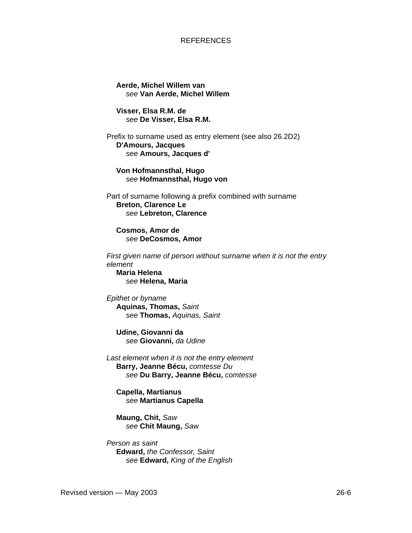**Aerde, Michel Willem van**  *see* **Van Aerde, Michel Willem** 

**Visser, Elsa R.M. de**  *see* **De Visser, Elsa R.M.** 

Prefix to surname used as entry element (see also 26.2D2) **D'Amours, Jacques**  *see* **Amours, Jacques d'** 

**Von Hofmannsthal, Hugo**  *see* **Hofmannsthal, Hugo von** 

Part of surname following a prefix combined with surname **Breton, Clarence Le**  *see* **Lebreton, Clarence**

**Cosmos, Amor de**  *see* **DeCosmos, Amor** 

*First given name of person without surname when it is not the entry element*  **Maria Helena**  *see* **Helena, Maria**

*Epithet or byname* **Aquinas, Thomas,** *Saint see* **Thomas,** *Aquinas, Saint*

**Udine, Giovanni da** *see* **Giovanni,** *da Udine* 

*Last element when it is not the entry element*  **Barry, Jeanne Bécu,** *comtesse Du see* **Du Barry, Jeanne Bécu,** *comtesse*

**Capella, Martianus**  *see* **Martianus Capella** 

**Maung, Chit,** *Saw see* **Chit Maung,** *Saw*

*Person as saint*  **Edward,** *the Confessor, Saint see* **Edward,** *King of the English*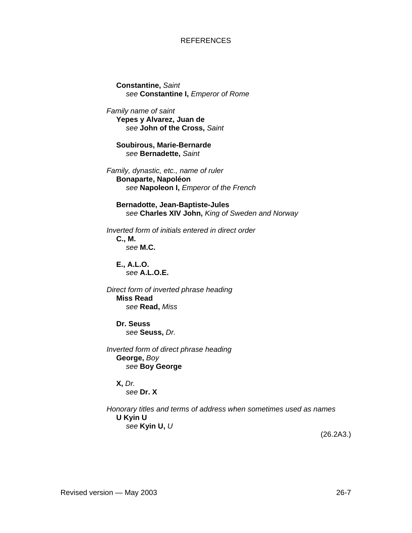**Constantine,** *Saint see* **Constantine I,** *Emperor of Rome* 

*Family name of saint*  **Yepes y Alvarez, Juan de**  *see* **John of the Cross,** *Saint*

**Soubirous, Marie-Bernarde**  *see* **Bernadette,** *Saint*

*Family, dynastic, etc., name of ruler* **Bonaparte, Napoléon**  *see* **Napoleon I,** *Emperor of the French*

**Bernadotte, Jean-Baptiste-Jules** *see* **Charles XIV John,** *King of Sweden and Norway*

*Inverted form of initials entered in direct order*  **C., M.**  *see* **M.C.**

**E., A.L.O.**  *see* **A.L.O.E.** 

*Direct form of inverted phrase heading*  **Miss Read** *see* **Read,** *Miss*

**Dr. Seuss**  *see* **Seuss,** *Dr.*

*Inverted form of direct phrase heading*  **George,** *Boy see* **Boy George** 

**X,** *Dr. see* **Dr. X** 

*Honorary titles and terms of address when sometimes used as names* **U Kyin U**  *see* **Kyin U,** *U*

(26.2A3.)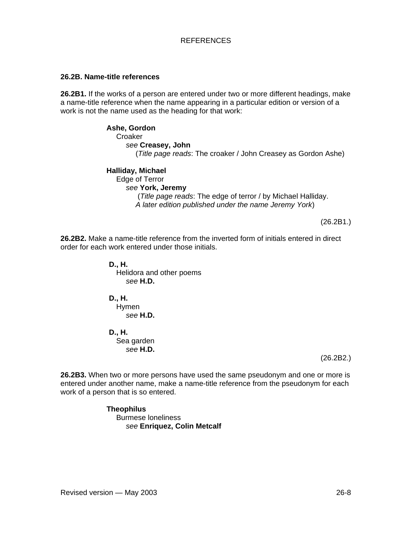#### **26.2B. Name-title references**

**26.2B1.** If the works of a person are entered under two or more different headings, make a name-title reference when the name appearing in a particular edition or version of a work is not the name used as the heading for that work:

> **Ashe, Gordon Croaker** *see* **Creasey, John**  (*Title page reads*: The croaker / John Creasey as Gordon Ashe)

**Halliday, Michael**  Edge of Terror *see* **York, Jeremy**  (*Title page reads*: The edge of terror / by Michael Halliday. *A later edition published under the name Jeremy York*)

(26.2B1.)

**26.2B2.** Make a name-title reference from the inverted form of initials entered in direct order for each work entered under those initials.

> **D., H.**  Helidora and other poems *see* **H.D.**

**D., H.**  Hymen *see* **H.D.** 

**D., H.**  Sea garden *see* **H.D.** 

(26.2B2.)

**26.2B3.** When two or more persons have used the same pseudonym and one or more is entered under another name, make a name-title reference from the pseudonym for each work of a person that is so entered.

> **Theophilus**  Burmese loneliness *see* **Enriquez, Colin Metcalf**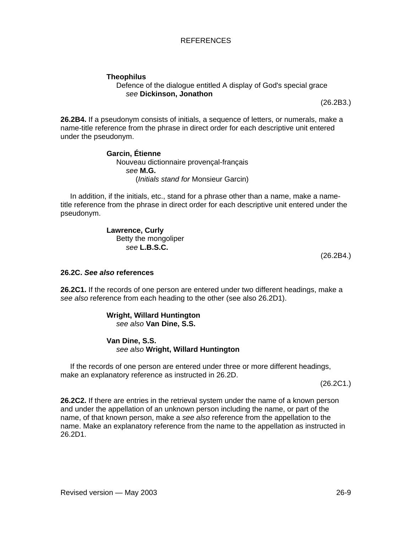## **Theophilus**

#### Defence of the dialogue entitled A display of God's special grace *see* **Dickinson, Jonathon**

(26.2B3.)

**26.2B4.** If a pseudonym consists of initials, a sequence of letters, or numerals, make a name-title reference from the phrase in direct order for each descriptive unit entered under the pseudonym.

#### **Garcin, Étienne** Nouveau dictionnaire provençal-français *see* **M.G.**  (*Initials stand for* Monsieur Garcin)

In addition, if the initials, etc., stand for a phrase other than a name, make a nametitle reference from the phrase in direct order for each descriptive unit entered under the pseudonym.

> **Lawrence, Curly**  Betty the mongoliper *see* **L.B.S.C.**

(26.2B4.)

#### **26.2C.** *See also* **references**

**26.2C1.** If the records of one person are entered under two different headings, make a *see also* reference from each heading to the other (see also 26.2D1).

#### **Wright, Willard Huntington**  *see also* **Van Dine, S.S.**

#### **Van Dine, S.S.**  *see also* **Wright, Willard Huntington**

If the records of one person are entered under three or more different headings, make an explanatory reference as instructed in 26.2D.

(26.2C1.)

**26.2C2.** If there are entries in the retrieval system under the name of a known person and under the appellation of an unknown person including the name, or part of the name, of that known person, make a *see also* reference from the appellation to the name. Make an explanatory reference from the name to the appellation as instructed in 26.2D1.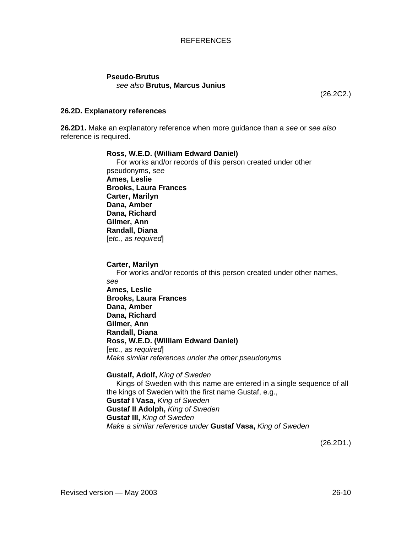## **Pseudo-Brutus**

#### *see also* **Brutus, Marcus Junius**

(26.2C2.)

#### **26.2D. Explanatory references**

**26.2D1.** Make an explanatory reference when more guidance than a *see* or *see also* reference is required.

#### **Ross, W.E.D. (William Edward Daniel)**

For works and/or records of this person created under other pseudonyms, *see* **Ames, Leslie Brooks, Laura Frances Carter, Marilyn Dana, Amber Dana, Richard Gilmer, Ann Randall, Diana**  [*etc., as required*]

**Carter, Marilyn** 

For works and/or records of this person created under other names, *see* **Ames, Leslie Brooks, Laura Frances Dana, Amber Dana, Richard Gilmer, Ann Randall, Diana Ross, W.E.D. (William Edward Daniel)**  [*etc., as required*] *Make similar references under the other pseudonyms* 

#### **Gustalf, Adolf,** *King of Sweden*

Kings of Sweden with this name are entered in a single sequence of all the kings of Sweden with the first name Gustaf, e.g., **Gustaf I Vasa,** *King of Sweden* **Gustaf II Adolph,** *King of Sweden*  **Gustaf III,** *King of Sweden Make a similar reference under* **Gustaf Vasa,** *King of Sweden* 

(26.2D1.)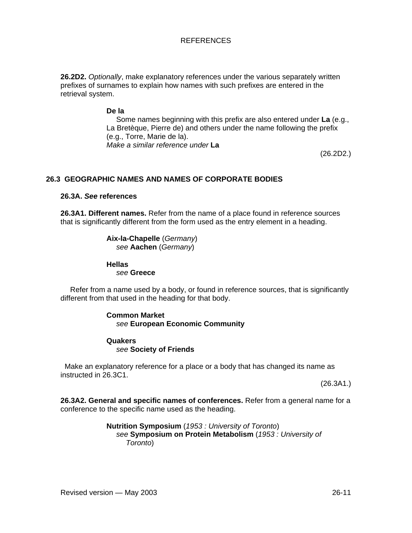**26.2D2.** *Optionally*, make explanatory references under the various separately written prefixes of surnames to explain how names with such prefixes are entered in the retrieval system.

#### **De la**

Some names beginning with this prefix are also entered under **La** (e.g., La Bretèque, Pierre de) and others under the name following the prefix (e.g., Torre, Marie de la). *Make a similar reference under* **La** 

(26.2D2.)

### **26.3 GEOGRAPHIC NAMES AND NAMES OF CORPORATE BODIES**

#### **26.3A.** *See* **references**

**26.3A1. Different names.** Refer from the name of a place found in reference sources that is significantly different from the form used as the entry element in a heading.

> **Aix-la-Chapelle** (*Germany*) *see* **Aachen** (*Germany*)

**Hellas** *see* **Greece**

Refer from a name used by a body, or found in reference sources, that is significantly different from that used in the heading for that body.

#### **Common Market**  *see* **European Economic Community**

#### **Quakers**  *see* **Society of Friends**

 Make an explanatory reference for a place or a body that has changed its name as instructed in 26.3C1.

(26.3A1.)

**26.3A2. General and specific names of conferences.** Refer from a general name for a conference to the specific name used as the heading.

> **Nutrition Symposium** (*1953 : University of Toronto*) *see* **Symposium on Protein Metabolism** (*1953 : University of Toronto*)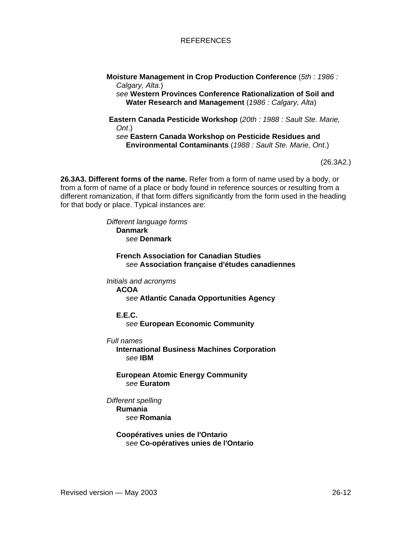**Moisture Management in Crop Production Conference** (*5th : 1986 : Calgary, Alta*.) *see* **Western Provinces Conference Rationalization of Soil and Water Research and Management** (*1986 : Calgary, Alta*)

 **Eastern Canada Pesticide Workshop** (*20th : 1988 : Sault Ste. Marie, Ont*.) *see* **Eastern Canada Workshop on Pesticide Residues and Environmental Contaminants** (*1988 : Sault Ste. Marie, Ont*.)

(26.3A2.)

**26.3A3. Different forms of the name.** Refer from a form of name used by a body, or from a form of name of a place or body found in reference sources or resulting from a different romanization, if that form differs significantly from the form used in the heading for that body or place. Typical instances are:

> *Different language forms*  **Danmark**  *see* **Denmark**

> > **French Association for Canadian Studies** *see* **Association française d'études canadiennes**

*Initials and acronyms* 

**ACOA** 

*see* **Atlantic Canada Opportunities Agency** 

**E.E.C.** 

*see* **European Economic Community** 

*Full names* 

**International Business Machines Corporation**  *see* **IBM** 

**European Atomic Energy Community**  *see* **Euratom**

- *Different spelling* 
	- **Rumania**  *see* **Romania**

**Coopératives unies de l'Ontario**  *see* **Co-opératives unies de l'Ontario**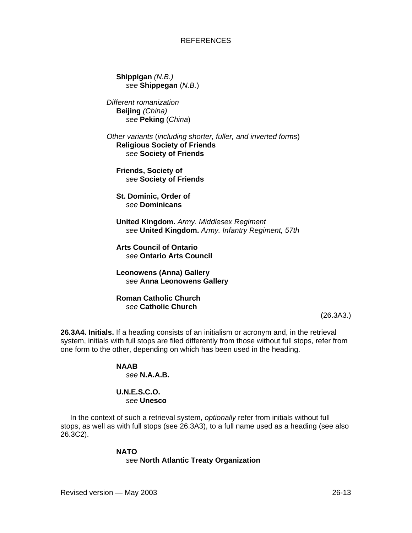**Shippigan** *(N.B.) see* **Shippegan** (*N.B.*)

*Different romanization*  **Beijing** *(China) see* **Peking** (*China*)

*Other variants* (*including shorter, fuller, and inverted forms*) **Religious Society of Friends**  *see* **Society of Friends** 

**Friends, Society of**  *see* **Society of Friends** 

**St. Dominic, Order of**  *see* **Dominicans**

**United Kingdom.** *Army. Middlesex Regiment see* **United Kingdom.** *Army. Infantry Regiment, 57th* 

**Arts Council of Ontario**  *see* **Ontario Arts Council** 

**Leonowens (Anna) Gallery**  *see* **Anna Leonowens Gallery** 

**Roman Catholic Church**  *see* **Catholic Church** 

(26.3A3.)

**26.3A4. Initials.** If a heading consists of an initialism or acronym and, in the retrieval system, initials with full stops are filed differently from those without full stops, refer from one form to the other, depending on which has been used in the heading.

#### **NAAB**  *see* **N.A.A.B.**

#### **U.N.E.S.C.O.**  *see* **Unesco**

In the context of such a retrieval system, *optionally* refer from initials without full stops, as well as with full stops (see 26.3A3), to a full name used as a heading (see also 26.3C2).

#### **NATO**

*see* **North Atlantic Treaty Organization**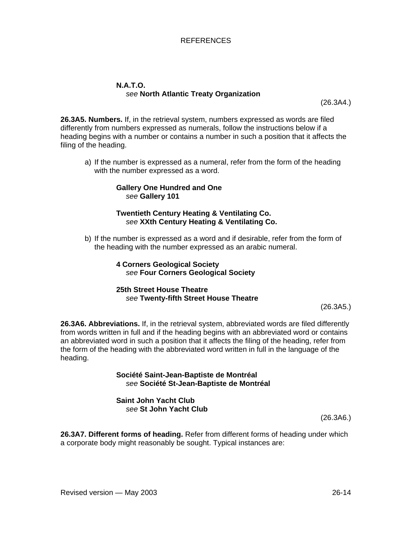#### **N.A.T.O.**  *see* **North Atlantic Treaty Organization**

(26.3A4.)

**26.3A5. Numbers.** If, in the retrieval system, numbers expressed as words are filed differently from numbers expressed as numerals, follow the instructions below if a heading begins with a number or contains a number in such a position that it affects the filing of the heading.

a) If the number is expressed as a numeral, refer from the form of the heading with the number expressed as a word.

#### **Gallery One Hundred and One**  *see* **Gallery 101**

#### **Twentieth Century Heating & Ventilating Co.**  *see* **XXth Century Heating & Ventilating Co.**

b) If the number is expressed as a word and if desirable, refer from the form of the heading with the number expressed as an arabic numeral.

> **4 Corners Geological Society** *see* **Four Corners Geological Society**

#### **25th Street House Theatre**  *see* **Twenty-fifth Street House Theatre**

(26.3A5.)

**26.3A6. Abbreviations.** If, in the retrieval system, abbreviated words are filed differently from words written in full and if the heading begins with an abbreviated word or contains an abbreviated word in such a position that it affects the filing of the heading, refer from the form of the heading with the abbreviated word written in full in the language of the heading.

> **Société Saint-Jean-Baptiste de Montréal**  *see* **Société St-Jean-Baptiste de Montréal**

**Saint John Yacht Club**  *see* **St John Yacht Club** 

(26.3A6.)

**26.3A7. Different forms of heading.** Refer from different forms of heading under which a corporate body might reasonably be sought. Typical instances are: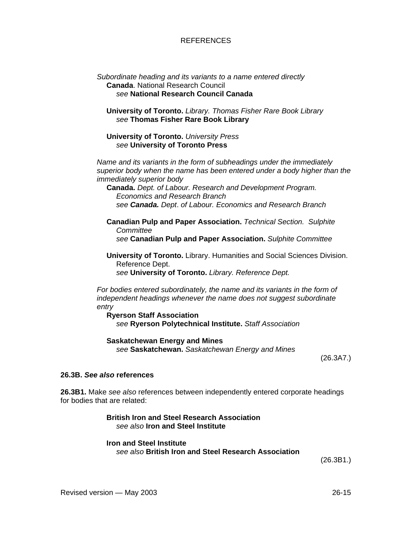#### *Subordinate heading and its variants to a name entered directly*  **Canada**. National Research Council *see* **National Research Council Canada**

**University of Toronto.** *Library. Thomas Fisher Rare Book Library see* **Thomas Fisher Rare Book Library** 

**University of Toronto.** *University Press see* **University of Toronto Press**

*Name and its variants in the form of subheadings under the immediately superior body when the name has been entered under a body higher than the immediately superior body*

**Canada.** *Dept. of Labour. Research and Development Program. Economics and Research Branch see Canada. Dept*. *of Labour. Economics and Research Branch*

**Canadian Pulp and Paper Association.** *Technical Section. Sulphite Committee see* **Canadian Pulp and Paper Association.** *Sulphite Committee* 

**University of Toronto.** Library. Humanities and Social Sciences Division. Reference Dept. *see* **University of Toronto.** *Library. Reference Dept.*

*For bodies entered subordinately, the name and its variants in the form of independent headings whenever the name does not suggest subordinate entry*

**Ryerson Staff Association**  *see* **Ryerson Polytechnical Institute.** *Staff Association* 

**Saskatchewan Energy and Mines**  *see* **Saskatchewan.** *Saskatchewan Energy and Mines* 

(26.3A7.)

#### **26.3B.** *See also* **references**

**26.3B1.** Make *see also* references between independently entered corporate headings for bodies that are related:

> **British Iron and Steel Research Association**  *see also* **Iron and Steel Institute**

#### **Iron and Steel Institute**

*see also* **British Iron and Steel Research Association** 

(26.3B1.)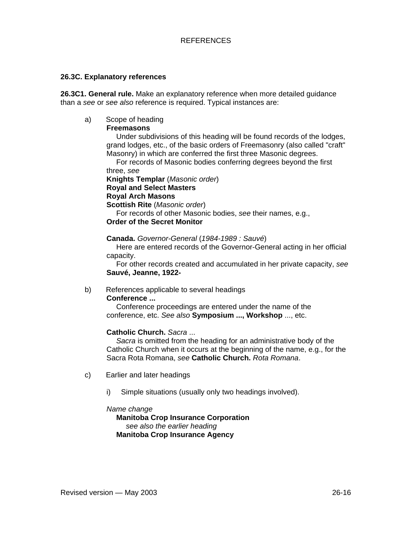#### **26.3C. Explanatory references**

**26.3C1. General rule.** Make an explanatory reference when more detailed guidance than a *see* or *see also* reference is required. Typical instances are:

## a) Scope of heading

#### **Freemasons**

Under subdivisions of this heading will be found records of the lodges, grand lodges, etc., of the basic orders of Freemasonry (also called "craft" Masonry) in which are conferred the first three Masonic degrees.

For records of Masonic bodies conferring degrees beyond the first three, *see*

**Knights Templar** (*Masonic order*) **Royal and Select Masters Royal Arch Masons Scottish Rite** (*Masonic order*) For records of other Masonic bodies, *see* their names, e.g.,

#### **Order of the Secret Monitor**

**Canada.** *Governor-General* (*1984-1989 : Sauvé*)

Here are entered records of the Governor-General acting in her official capacity.

For other records created and accumulated in her private capacity, *see* **Sauvé, Jeanne, 1922-** 

### b) References applicable to several headings

#### **Conference ...**

Conference proceedings are entered under the name of the conference, etc. *See also* **Symposium ..., Workshop** ..., etc.

#### **Catholic Church.** *Sacra* ...

*Sacra* is omitted from the heading for an administrative body of the Catholic Church when it occurs at the beginning of the name, e.g., for the Sacra Rota Romana, *see* **Catholic Church.** *Rota Romana*.

- c) Earlier and later headings
	- i) Simple situations (usually only two headings involved).

#### *Name change*

#### **Manitoba Crop Insurance Corporation**  *see also the earlier heading*  **Manitoba Crop Insurance Agency**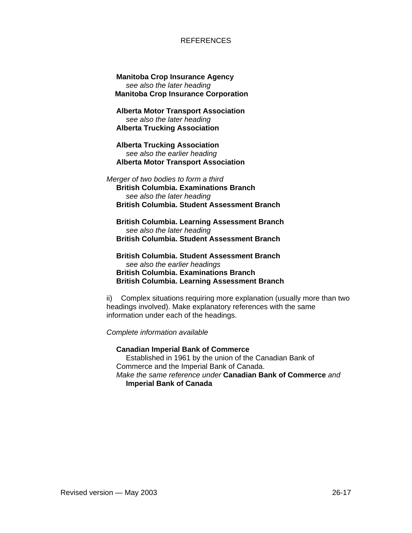**Manitoba Crop Insurance Agency**  *see also the later heading*   **Manitoba Crop Insurance Corporation** 

**Alberta Motor Transport Association**  *see also the later heading*  **Alberta Trucking Association** 

**Alberta Trucking Association**  *see also the earlier heading*  **Alberta Motor Transport Association** 

*Merger of two bodies to form a third*  **British Columbia. Examinations Branch**  *see also the later heading*  **British Columbia. Student Assessment Branch**

**British Columbia. Learning Assessment Branch** *see also the later heading*  **British Columbia. Student Assessment Branch**

**British Columbia. Student Assessment Branch** *see also the earlier headings*  **British Columbia. Examinations Branch British Columbia. Learning Assessment Branch** 

ii) Complex situations requiring more explanation (usually more than two headings involved). Make explanatory references with the same information under each of the headings.

*Complete information available* 

**Canadian Imperial Bank of Commerce**  Established in 1961 by the union of the Canadian Bank of Commerce and the Imperial Bank of Canada. *Make the same reference under* **Canadian Bank of Commerce** *and* **Imperial Bank of Canada**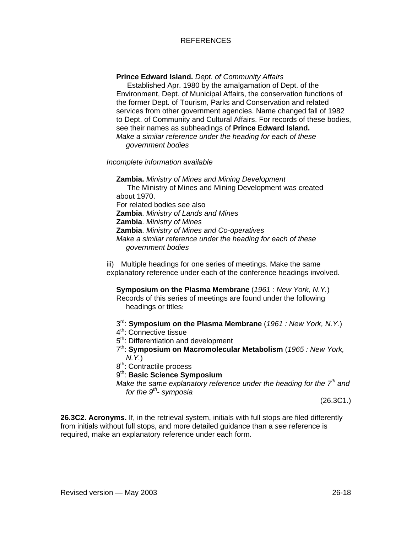**Prince Edward Island.** *Dept. of Community Affairs*

 Established Apr. 1980 by the amalgamation of Dept. of the Environment, Dept. of Municipal Affairs, the conservation functions of the former Dept. of Tourism, Parks and Conservation and related services from other government agencies. Name changed fall of 1982 to Dept. of Community and Cultural Affairs. For records of these bodies, see their names as subheadings of **Prince Edward Island.**  *Make a similar reference under the heading for each of these government bodies* 

*Incomplete information available* 

**Zambia.** *Ministry of Mines and Mining Development* The Ministry of Mines and Mining Development was created about 1970. For related bodies see also **Zambia**. *Ministry of Lands and Mines*  **Zambia**. *Ministry of Mines*  **Zambia**. *Ministry of Mines and Co-operatives Make a similar reference under the heading for each of these government bodies* 

iii) Multiple headings for one series of meetings. Make the same explanatory reference under each of the conference headings involved.

**Symposium on the Plasma Membrane** (*1961 : New York, N.Y.*) Records of this series of meetings are found under the following headings or titles:

3rd: **Symposium on the Plasma Membrane** (*1961 : New York, N.Y.*)

4<sup>th</sup>: Connective tissue

5<sup>th</sup>: Differentiation and development

7th: **Symposium on Macromolecular Metabolism** (*1965 : New York, N.Y.*)

8<sup>th</sup>: Contractile process

9th: **Basic Science Symposium**

*Make the same explanatory reference under the heading for the 7th and for the 9th- symposia*

(26.3C1.)

**26.3C2. Acronyms.** If, in the retrieval system, initials with full stops are filed differently from initials without full stops, and more detailed guidance than a *see* reference is required, make an explanatory reference under each form.